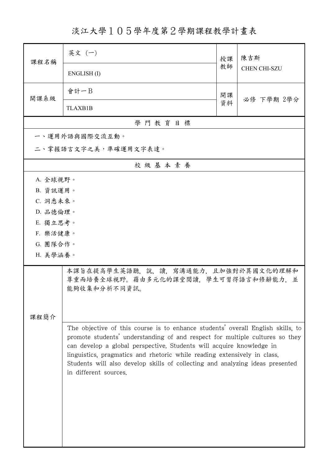淡江大學105學年度第2學期課程教學計畫表

| 課程名稱     | 英文 (一)                                                                                                                                                                                                                                                                                                                                                                                                                        | 授課 | 陳吉斯<br><b>CHEN CHI-SZU</b> |  |
|----------|-------------------------------------------------------------------------------------------------------------------------------------------------------------------------------------------------------------------------------------------------------------------------------------------------------------------------------------------------------------------------------------------------------------------------------|----|----------------------------|--|
|          | ENGLISH(I)                                                                                                                                                                                                                                                                                                                                                                                                                    | 教師 |                            |  |
| 開課系級     | 會計一B                                                                                                                                                                                                                                                                                                                                                                                                                          | 開課 | 必修 下學期 2學分                 |  |
|          | <b>TLAXB1B</b>                                                                                                                                                                                                                                                                                                                                                                                                                | 資料 |                            |  |
|          | 學門教育目標                                                                                                                                                                                                                                                                                                                                                                                                                        |    |                            |  |
|          | 一、運用外語與國際交流互動。                                                                                                                                                                                                                                                                                                                                                                                                                |    |                            |  |
|          | 二、掌握語言文字之美,準確運用文字表達。                                                                                                                                                                                                                                                                                                                                                                                                          |    |                            |  |
| 校級基本素養   |                                                                                                                                                                                                                                                                                                                                                                                                                               |    |                            |  |
| A. 全球視野。 |                                                                                                                                                                                                                                                                                                                                                                                                                               |    |                            |  |
| B. 資訊運用。 |                                                                                                                                                                                                                                                                                                                                                                                                                               |    |                            |  |
| C. 洞悉未來。 |                                                                                                                                                                                                                                                                                                                                                                                                                               |    |                            |  |
| D. 品德倫理。 |                                                                                                                                                                                                                                                                                                                                                                                                                               |    |                            |  |
| E. 獨立思考。 |                                                                                                                                                                                                                                                                                                                                                                                                                               |    |                            |  |
| F. 樂活健康。 |                                                                                                                                                                                                                                                                                                                                                                                                                               |    |                            |  |
| G. 團隊合作。 |                                                                                                                                                                                                                                                                                                                                                                                                                               |    |                            |  |
| H. 美學涵養。 |                                                                                                                                                                                                                                                                                                                                                                                                                               |    |                            |  |
|          | 本課旨在提高學生英語聽,說,讀,寫溝通能力,且加強對於異國文化的理解和<br>尊重而培養全球視野。藉由多元化的課堂閱讀,學生可習得語言和修辭能力,並<br>能夠收集和分析不同資訊。                                                                                                                                                                                                                                                                                                                                    |    |                            |  |
|          |                                                                                                                                                                                                                                                                                                                                                                                                                               |    |                            |  |
| 課程簡介     |                                                                                                                                                                                                                                                                                                                                                                                                                               |    |                            |  |
|          | The objective of this course is to enhance students' overall English skills, to<br>promote students' understanding of and respect for multiple cultures so they<br>can develop a global perspective. Students will acquire knowledge in<br>linguistics, pragmatics and rhetoric while reading extensively in class.<br>Students will also develop skills of collecting and analyzing ideas presented<br>in different sources. |    |                            |  |
|          |                                                                                                                                                                                                                                                                                                                                                                                                                               |    |                            |  |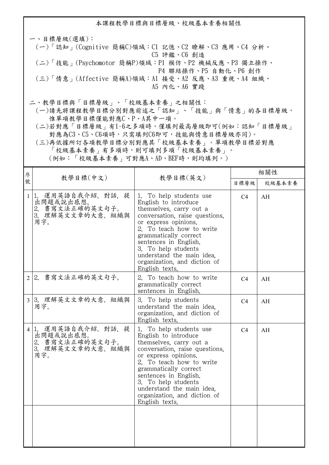本課程教學目標與目標層級、校級基本素養相關性 一、目標層級(選填): (一)「認知」(Cognitive 簡稱C)領域:C1 記憶、C2 瞭解、C3 應用、C4 分析、 C5 評鑑、C6 創造 (二)「技能」(Psychomotor 簡稱P)領域:P1 模仿、P2 機械反應、P3 獨立操作、 P4 聯結操作、P5 自動化、P6 創作 (三)「情意」(Affective 簡稱A)領域:A1 接受、A2 反應、A3 重視、A4 組織、 A5 內化、A6 實踐 二、教學目標與「目標層級」、「校級基本素養」之相關性:

 (一)請先將課程教學目標分別對應前述之「認知」、「技能」與「情意」的各目標層級, 惟單項教學目標僅能對應C、P、A其中一項。

 (二)若對應「目標層級」有1~6之多項時,僅填列最高層級即可(例如:認知「目標層級」 對應為C3、C5、C6項時,只需填列C6即可,技能與情意目標層級亦同)。

 (三)再依據所訂各項教學目標分別對應其「校級基本素養」。單項教學目標若對應 「校級基本素養」有多項時,則可填列多項「校級基本素養」。

(例如:「校級基本素養」可對應A、AD、BEF時,則均填列。)

| 序            | 教學目標(中文)                                                                       | 教學目標(英文)                                                                                                                                                                                                                                                                                                                 | 相關性            |        |
|--------------|--------------------------------------------------------------------------------|--------------------------------------------------------------------------------------------------------------------------------------------------------------------------------------------------------------------------------------------------------------------------------------------------------------------------|----------------|--------|
| 號            |                                                                                |                                                                                                                                                                                                                                                                                                                          | 目標層級           | 校級基本素養 |
| $\mathbf{1}$ | 1. 運用英語自我介紹、對話, 提<br>出問題或說出感想。<br>2. 書寫文法正確的英文句子。<br>3. 理解英文文章的大意、組織與<br>用字。   | 1. To help students use<br>English to introduce<br>themselves, carry out a<br>conversation, raise questions,<br>or express opinions.<br>2. To teach how to write<br>grammatically correct<br>sentences in English.<br>3. To help students<br>understand the main idea.<br>organization, and diction of<br>English texts. | C <sub>4</sub> | AH     |
|              | 2 2. 書寫文法正確的英文句子。                                                              | 2. To teach how to write<br>grammatically correct<br>sentences in English.                                                                                                                                                                                                                                               | C <sub>4</sub> | AH     |
|              | 3 3. 理解英文文章的大意、組織與<br>用字。                                                      | 3. To help students<br>understand the main idea.<br>organization, and diction of<br>English texts.                                                                                                                                                                                                                       | C <sub>4</sub> | AH     |
|              | 4 1. 運用英語自我介紹、對話, 提<br>出問題或說出感想。<br>2. 書寫文法正確的英文句子。<br>3. 理解英文文章的大意、組織與<br>用字。 | 1. To help students use<br>English to introduce<br>themselves, carry out a<br>conversation, raise questions.<br>or express opinions.<br>2. To teach how to write<br>grammatically correct<br>sentences in English.<br>3. To help students<br>understand the main idea.<br>organization, and diction of<br>English texts. | C <sub>4</sub> | AH     |
|              |                                                                                |                                                                                                                                                                                                                                                                                                                          |                |        |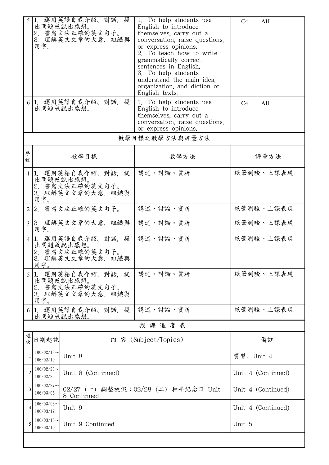| 5              | 1.<br>用字。                                                                         | 運用英語自我介紹、對話、提<br>出問題或說出感想。<br>2. 書寫文法正確的英文句子。<br>3. 理解英文文章的大意、組織與 | 1. To help students use<br>English to introduce<br>themselves, carry out a<br>conversation, raise questions,<br>or express opinions.<br>2. To teach how to write<br>grammatically correct<br>sentences in English.<br>3. To help students<br>understand the main idea.<br>organization, and diction of<br>English texts. | C4             | AH        |
|----------------|-----------------------------------------------------------------------------------|-------------------------------------------------------------------|--------------------------------------------------------------------------------------------------------------------------------------------------------------------------------------------------------------------------------------------------------------------------------------------------------------------------|----------------|-----------|
| 6              |                                                                                   | 1. 運用英語自我介紹、對話, 提<br>出問題或說出感想。                                    | 1. To help students use<br>English to introduce<br>themselves, carry out a<br>conversation, raise questions,<br>or express opinions.                                                                                                                                                                                     | C <sub>4</sub> | AH        |
|                |                                                                                   |                                                                   | 教學目標之教學方法與評量方法                                                                                                                                                                                                                                                                                                           |                |           |
| 序<br>號         |                                                                                   | 教學目標                                                              | 教學方法                                                                                                                                                                                                                                                                                                                     | 評量方法           |           |
| $\mathbf{1}$   | 1.<br>用字。                                                                         | 運用英語自我介紹、對話、提<br>出問題或說出感想。<br>2. 書寫文法正確的英文句子。<br>3. 理解英文文章的大意、組織與 | 講述、討論、賞析                                                                                                                                                                                                                                                                                                                 | 紙筆測驗、上課表現      |           |
| $\mathbf{2}$   |                                                                                   | 2. 書寫文法正確的英文句子。                                                   | 講述、討論、賞析                                                                                                                                                                                                                                                                                                                 | 紙筆測驗、上課表現      |           |
| $\overline{3}$ | 用字。                                                                               | 3. 理解英文文章的大意、組織與                                                  | 講述、討論、賞析                                                                                                                                                                                                                                                                                                                 | 紙筆測驗、上課表現      |           |
| 4              | 1.<br>3.<br>用字。                                                                   | 運用英語自我介紹、對話、提<br>出問題或說出感想。<br>2. 書寫文法正確的英文句子。<br>理解英文文章的大意、組織與    | 講述、討論、賞析                                                                                                                                                                                                                                                                                                                 |                | 紙筆測驗、上課表現 |
| 5              | 1 <sub>1</sub><br>3.<br>用字。                                                       | 運用英語自我介紹、對話,提<br>出問題或說出感想。<br>2. 書寫文法正確的英文句子。<br>理解英文文章的大意、組織與    | 講述、討論、賞析                                                                                                                                                                                                                                                                                                                 |                | 紙筆測驗、上課表現 |
| 6              | 1.                                                                                | 運用英語自我介紹、對話,提<br>出問題或說出感想。                                        | 講述、討論、賞析                                                                                                                                                                                                                                                                                                                 |                | 紙筆測驗、上課表現 |
|                |                                                                                   |                                                                   | 授課進度表                                                                                                                                                                                                                                                                                                                    |                |           |
| 週<br>次         | 日期起訖                                                                              |                                                                   | 內 容 (Subject/Topics)                                                                                                                                                                                                                                                                                                     | 備註             |           |
|                | $106/02/13$ ~<br>106/02/19                                                        | Unit 8                                                            |                                                                                                                                                                                                                                                                                                                          | 實習: Unit 4     |           |
| $\overline{2}$ | $106/02/20$ ~<br>Unit 8 (Continued)<br>106/02/26                                  |                                                                   | Unit 4 (Continued)                                                                                                                                                                                                                                                                                                       |                |           |
| 3              | $106/02/27$ ~<br>02/27 (一) 調整放假; 02/28 (二) 和平紀念日 Unit<br>106/03/05<br>8 Continued |                                                                   | Unit 4 (Continued)                                                                                                                                                                                                                                                                                                       |                |           |
| 4              | $106/03/06$ ~<br>106/03/12                                                        | Unit 9<br>Unit 4 (Continued)                                      |                                                                                                                                                                                                                                                                                                                          |                |           |
| 5              | $106/03/13$ ~<br>106/03/19                                                        | Unit 9 Continued                                                  |                                                                                                                                                                                                                                                                                                                          | Unit 5         |           |
|                |                                                                                   |                                                                   |                                                                                                                                                                                                                                                                                                                          |                |           |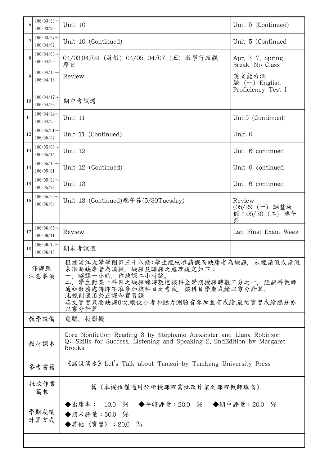| 6           | $106/03/20$ ~<br>106/03/26                                                                 | Unit 10                                                                                                                                                                                                                           | Unit 5 (Continued)                              |  |
|-------------|--------------------------------------------------------------------------------------------|-----------------------------------------------------------------------------------------------------------------------------------------------------------------------------------------------------------------------------------|-------------------------------------------------|--|
| 7           | $106/03/27$ ~<br>106/04/02                                                                 | Unit 10 (Continued)                                                                                                                                                                                                               | Unit 5 (Continued                               |  |
| 8           | $106/04/03$ ~<br>106/04/09                                                                 | 04/03.04/04 (放假) 04/05-04/07 (五) 教學行政觀<br>摩日                                                                                                                                                                                      | Apr. $3-7$ , Spring<br>Break, No Class          |  |
| 9           | $106/04/10$ ~<br>106/04/16                                                                 | Review                                                                                                                                                                                                                            | 英文能力測<br>驗 $(-)$ English<br>Proficiency Test I  |  |
| 10          | $106/04/17$ ~<br>106/04/23                                                                 | 期中考試週                                                                                                                                                                                                                             |                                                 |  |
| 11          | $106/04/24$ ~<br>106/04/30                                                                 | Unit 11                                                                                                                                                                                                                           | Unit <sub>5</sub> (Continued)                   |  |
| 12          | $106/05/01$ ~<br>106/05/07                                                                 | Unit 11 (Continued)                                                                                                                                                                                                               | Unit 6                                          |  |
| 13          | $106/05/08$ ~<br>106/05/14                                                                 | Unit 12                                                                                                                                                                                                                           | Unit 6 continued                                |  |
| 14          | $106/05/15$ ~<br>106/05/21                                                                 | Unit 12 (Continued)                                                                                                                                                                                                               | Unit 6 continued                                |  |
| 15          | $106/05/22$ ~<br>106/05/28                                                                 | Unit 13                                                                                                                                                                                                                           | Unit 6 continued                                |  |
| 16          | $106/05/29$ ~<br>106/06/04                                                                 | Unit 13 (Continued)端午節(5/30Tuesday)                                                                                                                                                                                               | Review<br>(05/29 (一) 調整放<br>假;05/30 (二) 端午<br>節 |  |
| 17          | $106/06/05$ ~<br>106/06/11                                                                 | Review                                                                                                                                                                                                                            | Lab Final Exam Week                             |  |
| 18          | $106/06/12$ ~<br>106/06/18                                                                 | 期末考試週                                                                                                                                                                                                                             |                                                 |  |
| 修課應<br>注意事項 |                                                                                            | 根據淡江大學學則第三十八條:學生經核准請假而缺席者為缺課,未經請假或請假<br>未准而缺席者為曠課、缺課及曠課之處理規定如下:<br>曠課一小時,作缺課二小時論。<br>學生對某一科目之缺課總時數達該科全學期授課時數三分之一,經該科教師<br>二、<br>通知教務處時即不准參加該科目之考試,該科目學期成績以零分計算。<br>此規則適用於正課和實習課<br>英文實習只要缺課6次,縱使小考和聽力測驗有參加並有成績,最後實習成績總分亦<br>以零分計算 |                                                 |  |
|             | 電腦、投影機<br>教學設備                                                                             |                                                                                                                                                                                                                                   |                                                 |  |
|             | 教材課本                                                                                       | Core Nonfiction Reading 3 by Stephanie Alexander and Liana Robinson<br>Q: Skills for Success, Listening and Speaking 2, 2nd Edition by Margaret<br><b>Brooks</b>                                                                  |                                                 |  |
| 參考書籍        |                                                                                            | 《話說淡水》 Let's Talk about Tamsui by Tamkang University Press                                                                                                                                                                        |                                                 |  |
|             | 批改作業<br>篇數                                                                                 | 篇(本欄位僅適用於所授課程需批改作業之課程教師填寫)                                                                                                                                                                                                        |                                                 |  |
|             | ◆出席率: 10.0 % ◆平時評量:20.0 % ◆期中評量:20.0 %<br>學期成績<br>◆期末評量: 30.0 %<br>計算方式<br>◆其他〈實習〉: 20.0 % |                                                                                                                                                                                                                                   |                                                 |  |
|             |                                                                                            |                                                                                                                                                                                                                                   |                                                 |  |